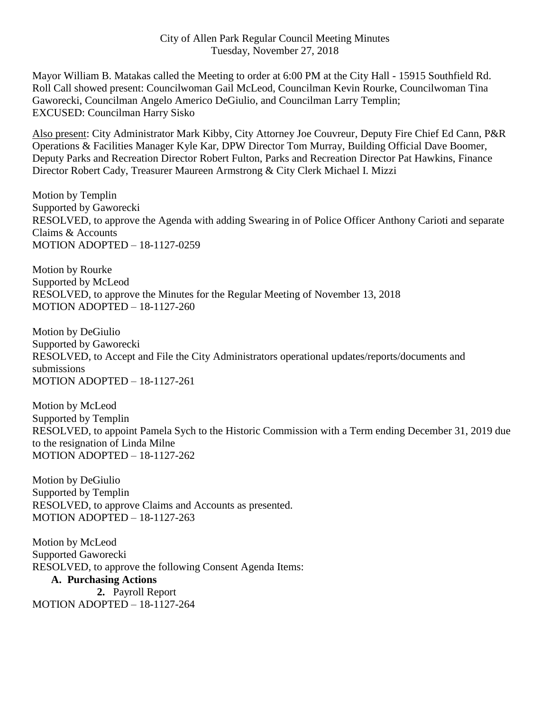Mayor William B. Matakas called the Meeting to order at 6:00 PM at the City Hall - 15915 Southfield Rd. Roll Call showed present: Councilwoman Gail McLeod, Councilman Kevin Rourke, Councilwoman Tina Gaworecki, Councilman Angelo Americo DeGiulio, and Councilman Larry Templin; EXCUSED: Councilman Harry Sisko

Also present: City Administrator Mark Kibby, City Attorney Joe Couvreur, Deputy Fire Chief Ed Cann, P&R Operations & Facilities Manager Kyle Kar, DPW Director Tom Murray, Building Official Dave Boomer, Deputy Parks and Recreation Director Robert Fulton, Parks and Recreation Director Pat Hawkins, Finance Director Robert Cady, Treasurer Maureen Armstrong & City Clerk Michael I. Mizzi

Motion by Templin Supported by Gaworecki RESOLVED, to approve the Agenda with adding Swearing in of Police Officer Anthony Carioti and separate Claims & Accounts MOTION ADOPTED – 18-1127-0259

Motion by Rourke Supported by McLeod RESOLVED, to approve the Minutes for the Regular Meeting of November 13, 2018 MOTION ADOPTED – 18-1127-260

Motion by DeGiulio Supported by Gaworecki RESOLVED, to Accept and File the City Administrators operational updates/reports/documents and submissions MOTION ADOPTED – 18-1127-261

Motion by McLeod Supported by Templin RESOLVED, to appoint Pamela Sych to the Historic Commission with a Term ending December 31, 2019 due to the resignation of Linda Milne MOTION ADOPTED – 18-1127-262

Motion by DeGiulio Supported by Templin RESOLVED, to approve Claims and Accounts as presented. MOTION ADOPTED – 18-1127-263

Motion by McLeod Supported Gaworecki RESOLVED, to approve the following Consent Agenda Items:

# **A. Purchasing Actions**

**2.** Payroll Report MOTION ADOPTED – 18-1127-264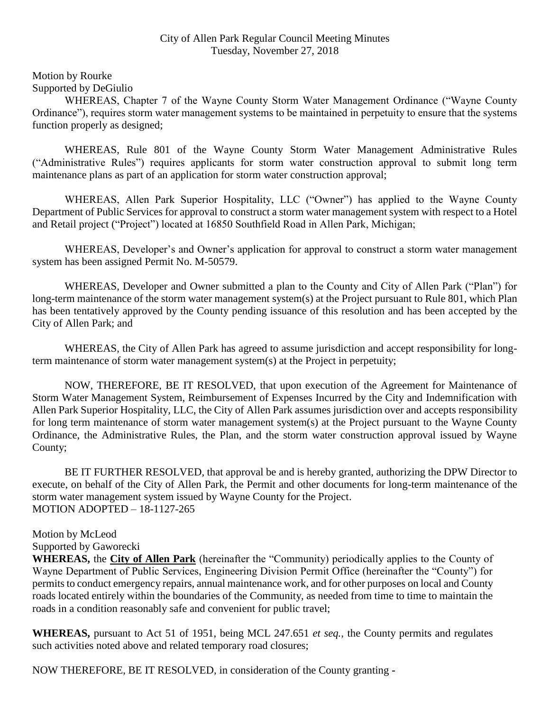## City of Allen Park Regular Council Meeting Minutes Tuesday, November 27, 2018

Motion by Rourke Supported by DeGiulio

WHEREAS, Chapter 7 of the Wayne County Storm Water Management Ordinance ("Wayne County Ordinance"), requires storm water management systems to be maintained in perpetuity to ensure that the systems function properly as designed;

WHEREAS, Rule 801 of the Wayne County Storm Water Management Administrative Rules ("Administrative Rules") requires applicants for storm water construction approval to submit long term maintenance plans as part of an application for storm water construction approval;

WHEREAS, Allen Park Superior Hospitality, LLC ("Owner") has applied to the Wayne County Department of Public Services for approval to construct a storm water management system with respect to a Hotel and Retail project ("Project") located at 16850 Southfield Road in Allen Park, Michigan;

WHEREAS, Developer's and Owner's application for approval to construct a storm water management system has been assigned Permit No. M-50579.

WHEREAS, Developer and Owner submitted a plan to the County and City of Allen Park ("Plan") for long-term maintenance of the storm water management system(s) at the Project pursuant to Rule 801, which Plan has been tentatively approved by the County pending issuance of this resolution and has been accepted by the City of Allen Park; and

WHEREAS, the City of Allen Park has agreed to assume jurisdiction and accept responsibility for longterm maintenance of storm water management system(s) at the Project in perpetuity;

NOW, THEREFORE, BE IT RESOLVED, that upon execution of the Agreement for Maintenance of Storm Water Management System, Reimbursement of Expenses Incurred by the City and Indemnification with Allen Park Superior Hospitality, LLC, the City of Allen Park assumes jurisdiction over and accepts responsibility for long term maintenance of storm water management system(s) at the Project pursuant to the Wayne County Ordinance, the Administrative Rules, the Plan, and the storm water construction approval issued by Wayne County;

BE IT FURTHER RESOLVED, that approval be and is hereby granted, authorizing the DPW Director to execute, on behalf of the City of Allen Park, the Permit and other documents for long-term maintenance of the storm water management system issued by Wayne County for the Project. MOTION ADOPTED – 18-1127-265

## Motion by McLeod

Supported by Gaworecki

**WHEREAS,** the **City of Allen Park** (hereinafter the "Community) periodically applies to the County of Wayne Department of Public Services, Engineering Division Permit Office (hereinafter the "County") for permits to conduct emergency repairs, annual maintenance work, and for other purposes on local and County roads located entirely within the boundaries of the Community, as needed from time to time to maintain the roads in a condition reasonably safe and convenient for public travel;

**WHEREAS,** pursuant to Act 51 of 1951, being MCL 247.651 *et seq.*, the County permits and regulates such activities noted above and related temporary road closures;

NOW THEREFORE, BE IT RESOLVED, in consideration of the County granting **-**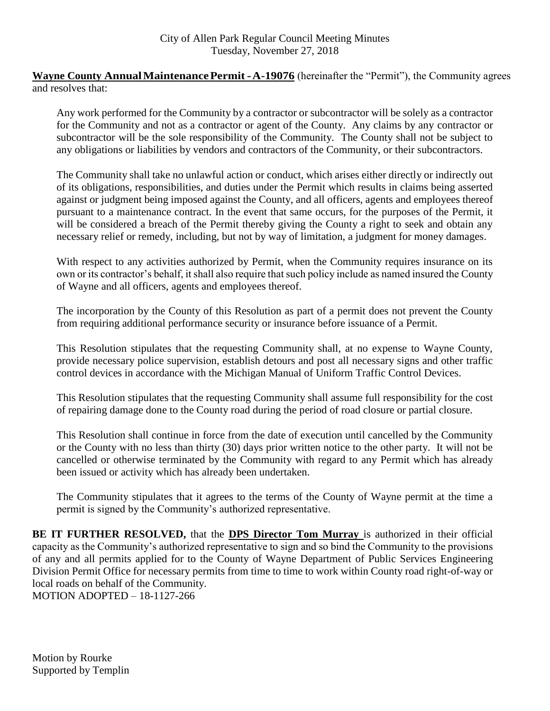**Wayne County Annual Maintenance Permit - A-19076** (hereinafter the "Permit"), the Community agrees and resolves that:

Any work performed for the Community by a contractor or subcontractor will be solely as a contractor for the Community and not as a contractor or agent of the County. Any claims by any contractor or subcontractor will be the sole responsibility of the Community. The County shall not be subject to any obligations or liabilities by vendors and contractors of the Community, or their subcontractors.

The Community shall take no unlawful action or conduct, which arises either directly or indirectly out of its obligations, responsibilities, and duties under the Permit which results in claims being asserted against or judgment being imposed against the County, and all officers, agents and employees thereof pursuant to a maintenance contract. In the event that same occurs, for the purposes of the Permit, it will be considered a breach of the Permit thereby giving the County a right to seek and obtain any necessary relief or remedy, including, but not by way of limitation, a judgment for money damages.

With respect to any activities authorized by Permit, when the Community requires insurance on its own or its contractor's behalf, it shall also require that such policy include as named insured the County of Wayne and all officers, agents and employees thereof.

The incorporation by the County of this Resolution as part of a permit does not prevent the County from requiring additional performance security or insurance before issuance of a Permit.

This Resolution stipulates that the requesting Community shall, at no expense to Wayne County, provide necessary police supervision, establish detours and post all necessary signs and other traffic control devices in accordance with the Michigan Manual of Uniform Traffic Control Devices.

This Resolution stipulates that the requesting Community shall assume full responsibility for the cost of repairing damage done to the County road during the period of road closure or partial closure.

This Resolution shall continue in force from the date of execution until cancelled by the Community or the County with no less than thirty (30) days prior written notice to the other party. It will not be cancelled or otherwise terminated by the Community with regard to any Permit which has already been issued or activity which has already been undertaken.

The Community stipulates that it agrees to the terms of the County of Wayne permit at the time a permit is signed by the Community's authorized representative.

**BE IT FURTHER RESOLVED,** that the **DPS Director Tom Murray** is authorized in their official capacity as the Community's authorized representative to sign and so bind the Community to the provisions of any and all permits applied for to the County of Wayne Department of Public Services Engineering Division Permit Office for necessary permits from time to time to work within County road right-of-way or local roads on behalf of the Community.

MOTION ADOPTED – 18-1127-266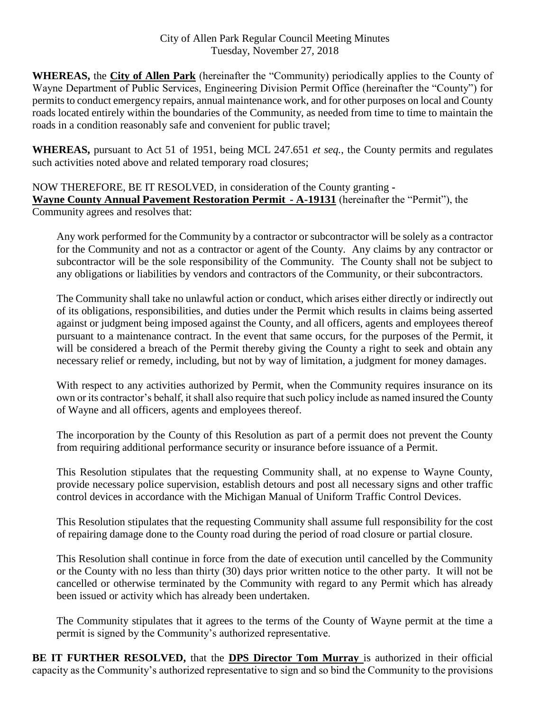**WHEREAS,** the **City of Allen Park** (hereinafter the "Community) periodically applies to the County of Wayne Department of Public Services, Engineering Division Permit Office (hereinafter the "County") for permits to conduct emergency repairs, annual maintenance work, and for other purposes on local and County roads located entirely within the boundaries of the Community, as needed from time to time to maintain the roads in a condition reasonably safe and convenient for public travel;

**WHEREAS,** pursuant to Act 51 of 1951, being MCL 247.651 *et seq.*, the County permits and regulates such activities noted above and related temporary road closures;

NOW THEREFORE, BE IT RESOLVED, in consideration of the County granting **- Wayne County Annual Pavement Restoration Permit - A-19131** (hereinafter the "Permit"), the Community agrees and resolves that:

Any work performed for the Community by a contractor or subcontractor will be solely as a contractor for the Community and not as a contractor or agent of the County. Any claims by any contractor or subcontractor will be the sole responsibility of the Community. The County shall not be subject to any obligations or liabilities by vendors and contractors of the Community, or their subcontractors.

The Community shall take no unlawful action or conduct, which arises either directly or indirectly out of its obligations, responsibilities, and duties under the Permit which results in claims being asserted against or judgment being imposed against the County, and all officers, agents and employees thereof pursuant to a maintenance contract. In the event that same occurs, for the purposes of the Permit, it will be considered a breach of the Permit thereby giving the County a right to seek and obtain any necessary relief or remedy, including, but not by way of limitation, a judgment for money damages.

With respect to any activities authorized by Permit, when the Community requires insurance on its own or its contractor's behalf, it shall also require that such policy include as named insured the County of Wayne and all officers, agents and employees thereof.

The incorporation by the County of this Resolution as part of a permit does not prevent the County from requiring additional performance security or insurance before issuance of a Permit.

This Resolution stipulates that the requesting Community shall, at no expense to Wayne County, provide necessary police supervision, establish detours and post all necessary signs and other traffic control devices in accordance with the Michigan Manual of Uniform Traffic Control Devices.

This Resolution stipulates that the requesting Community shall assume full responsibility for the cost of repairing damage done to the County road during the period of road closure or partial closure.

This Resolution shall continue in force from the date of execution until cancelled by the Community or the County with no less than thirty (30) days prior written notice to the other party. It will not be cancelled or otherwise terminated by the Community with regard to any Permit which has already been issued or activity which has already been undertaken.

The Community stipulates that it agrees to the terms of the County of Wayne permit at the time a permit is signed by the Community's authorized representative.

**BE IT FURTHER RESOLVED,** that the **DPS Director Tom Murray** is authorized in their official capacity as the Community's authorized representative to sign and so bind the Community to the provisions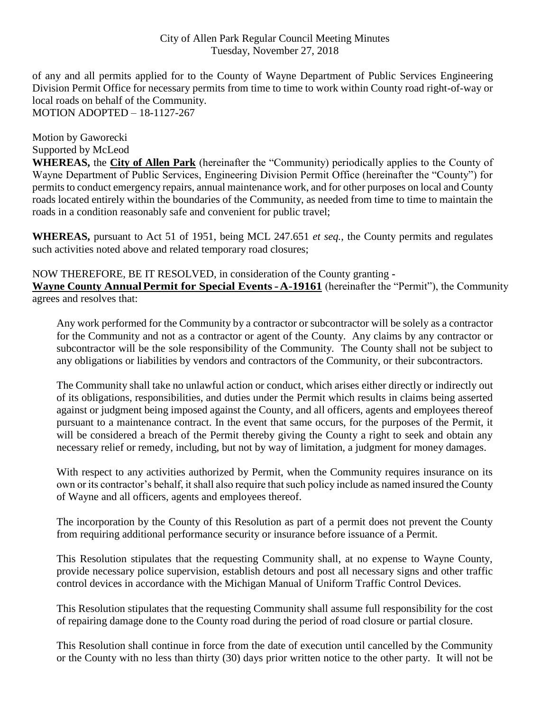## City of Allen Park Regular Council Meeting Minutes Tuesday, November 27, 2018

of any and all permits applied for to the County of Wayne Department of Public Services Engineering Division Permit Office for necessary permits from time to time to work within County road right-of-way or local roads on behalf of the Community. MOTION ADOPTED – 18-1127-267

Motion by Gaworecki Supported by McLeod

**WHEREAS,** the **City of Allen Park** (hereinafter the "Community) periodically applies to the County of Wayne Department of Public Services, Engineering Division Permit Office (hereinafter the "County") for permits to conduct emergency repairs, annual maintenance work, and for other purposes on local and County roads located entirely within the boundaries of the Community, as needed from time to time to maintain the roads in a condition reasonably safe and convenient for public travel;

**WHEREAS,** pursuant to Act 51 of 1951, being MCL 247.651 *et seq.*, the County permits and regulates such activities noted above and related temporary road closures;

NOW THEREFORE, BE IT RESOLVED, in consideration of the County granting **- Wayne County AnnualPermit for Special Events-A-19161** (hereinafter the "Permit"), the Community agrees and resolves that:

Any work performed for the Community by a contractor or subcontractor will be solely as a contractor for the Community and not as a contractor or agent of the County. Any claims by any contractor or subcontractor will be the sole responsibility of the Community. The County shall not be subject to any obligations or liabilities by vendors and contractors of the Community, or their subcontractors.

The Community shall take no unlawful action or conduct, which arises either directly or indirectly out of its obligations, responsibilities, and duties under the Permit which results in claims being asserted against or judgment being imposed against the County, and all officers, agents and employees thereof pursuant to a maintenance contract. In the event that same occurs, for the purposes of the Permit, it will be considered a breach of the Permit thereby giving the County a right to seek and obtain any necessary relief or remedy, including, but not by way of limitation, a judgment for money damages.

With respect to any activities authorized by Permit, when the Community requires insurance on its own or its contractor's behalf, it shall also require that such policy include as named insured the County of Wayne and all officers, agents and employees thereof.

The incorporation by the County of this Resolution as part of a permit does not prevent the County from requiring additional performance security or insurance before issuance of a Permit.

This Resolution stipulates that the requesting Community shall, at no expense to Wayne County, provide necessary police supervision, establish detours and post all necessary signs and other traffic control devices in accordance with the Michigan Manual of Uniform Traffic Control Devices.

This Resolution stipulates that the requesting Community shall assume full responsibility for the cost of repairing damage done to the County road during the period of road closure or partial closure.

This Resolution shall continue in force from the date of execution until cancelled by the Community or the County with no less than thirty (30) days prior written notice to the other party. It will not be